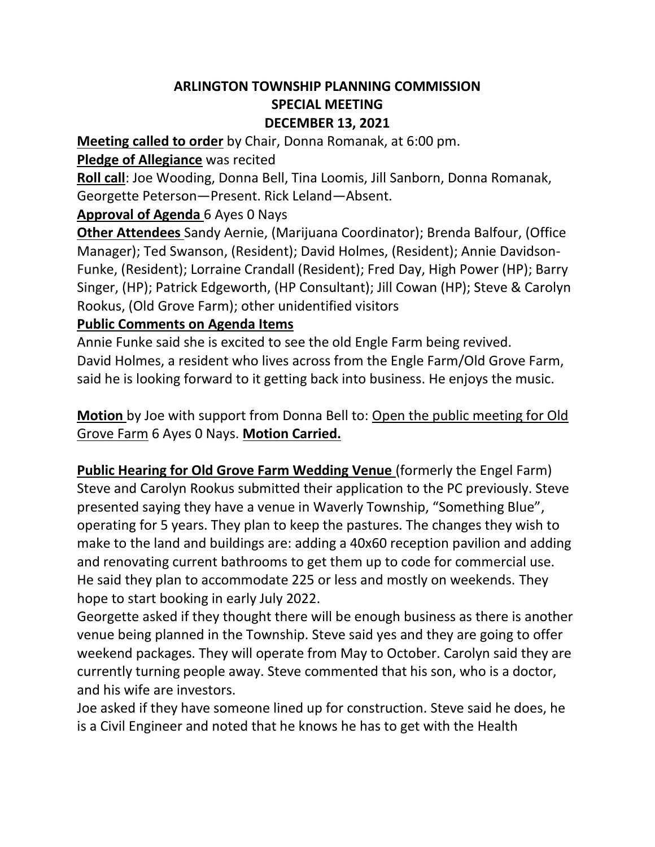# **ARLINGTON TOWNSHIP PLANNING COMMISSION SPECIAL MEETING DECEMBER 13, 2021**

**Meeting called to order** by Chair, Donna Romanak, at 6:00 pm.

### **Pledge of Allegiance** was recited

**Roll call**: Joe Wooding, Donna Bell, Tina Loomis, Jill Sanborn, Donna Romanak, Georgette Peterson—Present. Rick Leland—Absent.

## **Approval of Agenda** 6 Ayes 0 Nays

**Other Attendees** Sandy Aernie, (Marijuana Coordinator); Brenda Balfour, (Office Manager); Ted Swanson, (Resident); David Holmes, (Resident); Annie Davidson-Funke, (Resident); Lorraine Crandall (Resident); Fred Day, High Power (HP); Barry Singer, (HP); Patrick Edgeworth, (HP Consultant); Jill Cowan (HP); Steve & Carolyn Rookus, (Old Grove Farm); other unidentified visitors

#### **Public Comments on Agenda Items**

Annie Funke said she is excited to see the old Engle Farm being revived. David Holmes, a resident who lives across from the Engle Farm/Old Grove Farm, said he is looking forward to it getting back into business. He enjoys the music.

**Motion** by Joe with support from Donna Bell to: Open the public meeting for Old Grove Farm 6 Ayes 0 Nays. **Motion Carried.**

**Public Hearing for Old Grove Farm Wedding Venue** (formerly the Engel Farm) Steve and Carolyn Rookus submitted their application to the PC previously. Steve presented saying they have a venue in Waverly Township, "Something Blue", operating for 5 years. They plan to keep the pastures. The changes they wish to make to the land and buildings are: adding a 40x60 reception pavilion and adding and renovating current bathrooms to get them up to code for commercial use. He said they plan to accommodate 225 or less and mostly on weekends. They hope to start booking in early July 2022.

Georgette asked if they thought there will be enough business as there is another venue being planned in the Township. Steve said yes and they are going to offer weekend packages. They will operate from May to October. Carolyn said they are currently turning people away. Steve commented that his son, who is a doctor, and his wife are investors.

Joe asked if they have someone lined up for construction. Steve said he does, he is a Civil Engineer and noted that he knows he has to get with the Health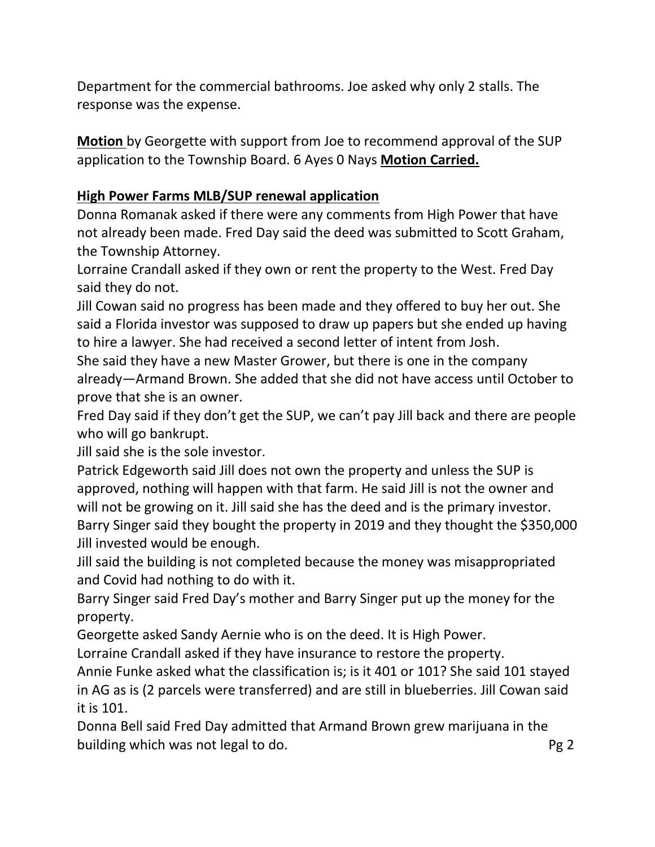Department for the commercial bathrooms. Joe asked why only 2 stalls. The response was the expense.

**Motion** by Georgette with support from Joe to recommend approval of the SUP application to the Township Board. 6 Ayes 0 Nays **Motion Carried.** 

# **High Power Farms MLB/SUP renewal application**

Donna Romanak asked if there were any comments from High Power that have not already been made. Fred Day said the deed was submitted to Scott Graham, the Township Attorney.

Lorraine Crandall asked if they own or rent the property to the West. Fred Day said they do not.

Jill Cowan said no progress has been made and they offered to buy her out. She said a Florida investor was supposed to draw up papers but she ended up having to hire a lawyer. She had received a second letter of intent from Josh.

She said they have a new Master Grower, but there is one in the company already—Armand Brown. She added that she did not have access until October to prove that she is an owner.

Fred Day said if they don't get the SUP, we can't pay Jill back and there are people who will go bankrupt.

Jill said she is the sole investor.

Patrick Edgeworth said Jill does not own the property and unless the SUP is approved, nothing will happen with that farm. He said Jill is not the owner and will not be growing on it. Jill said she has the deed and is the primary investor. Barry Singer said they bought the property in 2019 and they thought the \$350,000 Jill invested would be enough.

Jill said the building is not completed because the money was misappropriated and Covid had nothing to do with it.

Barry Singer said Fred Day's mother and Barry Singer put up the money for the property.

Georgette asked Sandy Aernie who is on the deed. It is High Power.

Lorraine Crandall asked if they have insurance to restore the property.

Annie Funke asked what the classification is; is it 401 or 101? She said 101 stayed in AG as is (2 parcels were transferred) and are still in blueberries. Jill Cowan said it is 101.

Donna Bell said Fred Day admitted that Armand Brown grew marijuana in the building which was not legal to do. **Pg 2** Pg 2